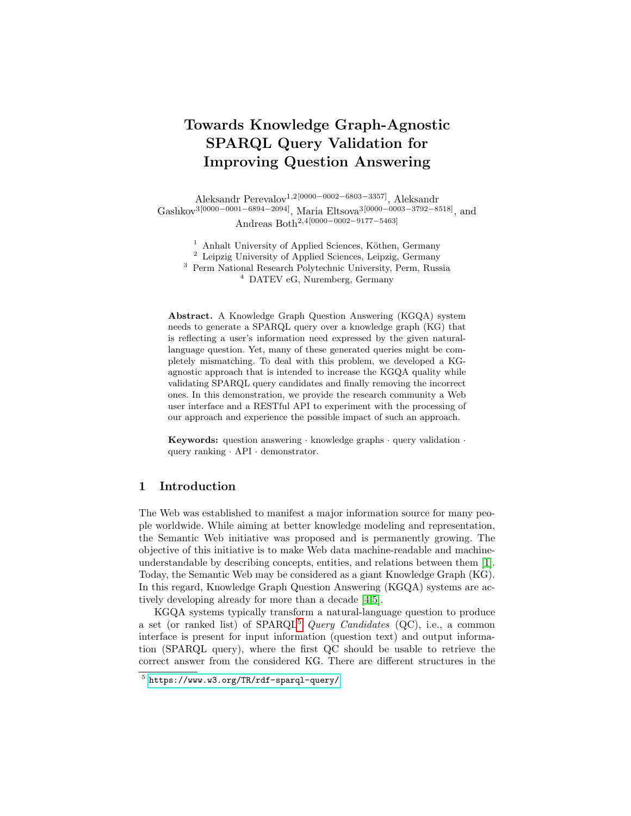# Towards Knowledge Graph-Agnostic SPARQL Query Validation for Improving Question Answering

Aleksandr Perevalov1,2[0000−0002−6803−3357], Aleksandr Gashkov<sup>3[0000–0001–6894–2094]</sup>, Maria Eltsova<sup>3[0000–0003–3792–8518], and</sup> Andreas Both2,4[0000−0002−9177−5463]

 Anhalt University of Applied Sciences, Köthen, Germany Leipzig University of Applied Sciences, Leipzig, Germany Perm National Research Polytechnic University, Perm, Russia DATEV eG, Nuremberg, Germany

Abstract. A Knowledge Graph Question Answering (KGQA) system needs to generate a SPARQL query over a knowledge graph (KG) that is reflecting a user's information need expressed by the given naturallanguage question. Yet, many of these generated queries might be completely mismatching. To deal with this problem, we developed a KGagnostic approach that is intended to increase the KGQA quality while validating SPARQL query candidates and finally removing the incorrect ones. In this demonstration, we provide the research community a Web user interface and a RESTful API to experiment with the processing of our approach and experience the possible impact of such an approach.

**Keywords:** question answering  $\cdot$  knowledge graphs  $\cdot$  query validation  $\cdot$ query ranking · API · demonstrator.

# 1 Introduction

The Web was established to manifest a major information source for many people worldwide. While aiming at better knowledge modeling and representation, the Semantic Web initiative was proposed and is permanently growing. The objective of this initiative is to make Web data machine-readable and machineunderstandable by describing concepts, entities, and relations between them [\[1\]](#page-3-0). Today, the Semantic Web may be considered as a giant Knowledge Graph (KG). In this regard, Knowledge Graph Question Answering (KGQA) systems are actively developing already for more than a decade [\[4,](#page-4-0)[5\]](#page-4-1).

KGQA systems typically transform a natural-language question to produce a set (or ranked list) of  $SPARCL^5$  $SPARCL^5$  *Query Candidates* (QC), i.e., a common interface is present for input information (question text) and output information (SPARQL query), where the first QC should be usable to retrieve the correct answer from the considered KG. There are different structures in the

<span id="page-0-0"></span> $^5$  <https://www.w3.org/TR/rdf-sparql-query/>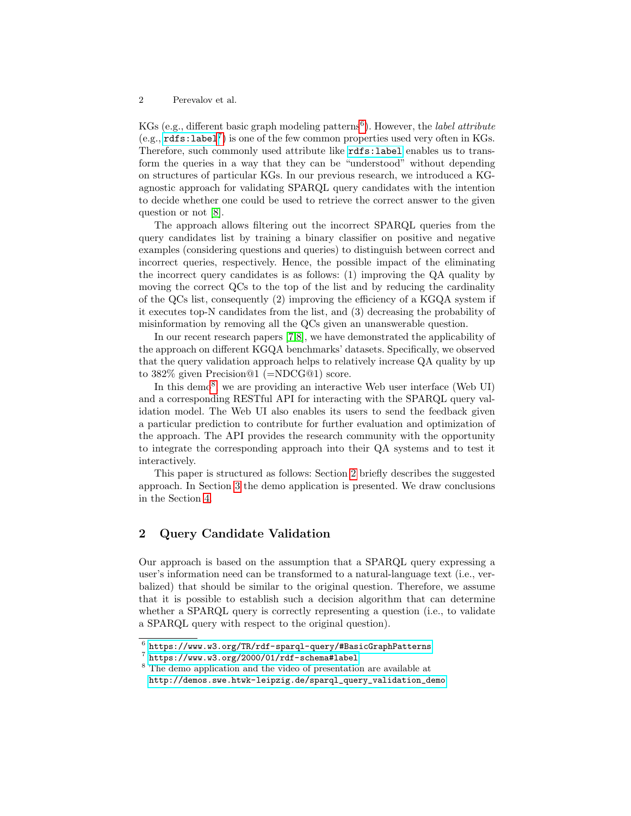KGs (e.g., different basic graph modeling patterns<sup>[6](#page-1-0)</sup>). However, the *label attribute* (e.g.,  $\texttt{rdfs:label}$  $\texttt{rdfs:label}$  $\texttt{rdfs:label}$ ) is one of the few common properties used very often in KGs. Therefore, such commonly used attribute like [rdfs:label](http://www.w3.org/2000/01/rdf-schema#label) enables us to transform the queries in a way that they can be "understood" without depending on structures of particular KGs. In our previous research, we introduced a KGagnostic approach for validating SPARQL query candidates with the intention to decide whether one could be used to retrieve the correct answer to the given question or not [\[8\]](#page-4-2).

The approach allows filtering out the incorrect SPARQL queries from the query candidates list by training a binary classifier on positive and negative examples (considering questions and queries) to distinguish between correct and incorrect queries, respectively. Hence, the possible impact of the eliminating the incorrect query candidates is as follows: (1) improving the QA quality by moving the correct QCs to the top of the list and by reducing the cardinality of the QCs list, consequently (2) improving the efficiency of a KGQA system if it executes top-N candidates from the list, and (3) decreasing the probability of misinformation by removing all the QCs given an unanswerable question.

In our recent research papers [\[7,](#page-4-3)[8\]](#page-4-2), we have demonstrated the applicability of the approach on different KGQA benchmarks' datasets. Specifically, we observed that the query validation approach helps to relatively increase QA quality by up to 382% given Precision@1 (=NDCG@1) score.

In this demo<sup>[8](#page-1-2)</sup>, we are providing an interactive Web user interface (Web UI) and a corresponding RESTful API for interacting with the SPARQL query validation model. The Web UI also enables its users to send the feedback given a particular prediction to contribute for further evaluation and optimization of the approach. The API provides the research community with the opportunity to integrate the corresponding approach into their QA systems and to test it interactively.

This paper is structured as follows: Section [2](#page-1-3) briefly describes the suggested approach. In Section [3](#page-2-0) the demo application is presented. We draw conclusions in the Section [4.](#page-3-1)

# <span id="page-1-3"></span>2 Query Candidate Validation

Our approach is based on the assumption that a SPARQL query expressing a user's information need can be transformed to a natural-language text (i.e., verbalized) that should be similar to the original question. Therefore, we assume that it is possible to establish such a decision algorithm that can determine whether a SPARQL query is correctly representing a question (i.e., to validate a SPARQL query with respect to the original question).

<span id="page-1-0"></span> $^6$ <https://www.w3.org/TR/rdf-sparql-query/#BasicGraphPatterns>

<span id="page-1-1"></span><sup>7</sup> <https://www.w3.org/2000/01/rdf-schema#label>

<span id="page-1-2"></span><sup>8</sup> The demo application and the video of presentation are available at [http://demos.swe.htwk-leipzig.de/sparql\\_query\\_validation\\_demo](http://demos.swe.htwk-leipzig.de/sparql_query_validation_demo).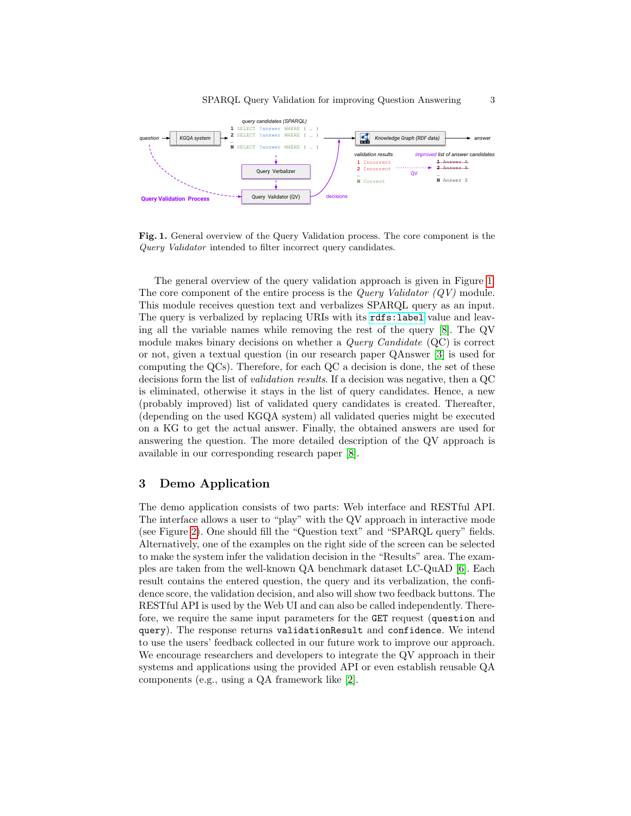

<span id="page-2-1"></span>Fig. 1. General overview of the Query Validation process. The core component is the Query Validator intended to filter incorrect query candidates.

The general overview of the query validation approach is given in Figure [1.](#page-2-1) The core component of the entire process is the *Query Validator (QV)* module. This module receives question text and verbalizes SPARQL query as an input. The query is verbalized by replacing URIs with its [rdfs:label](http://www.w3.org/2000/01/rdf-schema#label) value and leaving all the variable names while removing the rest of the query [\[8\]](#page-4-2). The QV module makes binary decisions on whether a *Query Candidate* (QC) is correct or not, given a textual question (in our research paper QAnswer [\[3\]](#page-4-4) is used for computing the QCs). Therefore, for each QC a decision is done, the set of these decisions form the list of validation results. If a decision was negative, then a QC is eliminated, otherwise it stays in the list of query candidates. Hence, a new (probably improved) list of validated query candidates is created. Thereafter, (depending on the used KGQA system) all validated queries might be executed on a KG to get the actual answer. Finally, the obtained answers are used for answering the question. The more detailed description of the QV approach is available in our corresponding research paper [\[8\]](#page-4-2).

### <span id="page-2-0"></span>3 Demo Application

The demo application consists of two parts: Web interface and RESTful API. The interface allows a user to "play" with the QV approach in interactive mode (see Figure [2\)](#page-3-2). One should fill the "Question text" and "SPARQL query" fields. Alternatively, one of the examples on the right side of the screen can be selected to make the system infer the validation decision in the "Results" area. The examples are taken from the well-known QA benchmark dataset LC-QuAD [\[6\]](#page-4-5). Each result contains the entered question, the query and its verbalization, the confidence score, the validation decision, and also will show two feedback buttons. The RESTful API is used by the Web UI and can also be called independently. Therefore, we require the same input parameters for the GET request (question and query). The response returns validationResult and confidence. We intend to use the users' feedback collected in our future work to improve our approach. We encourage researchers and developers to integrate the QV approach in their systems and applications using the provided API or even establish reusable QA components (e.g., using a QA framework like [\[2\]](#page-3-3).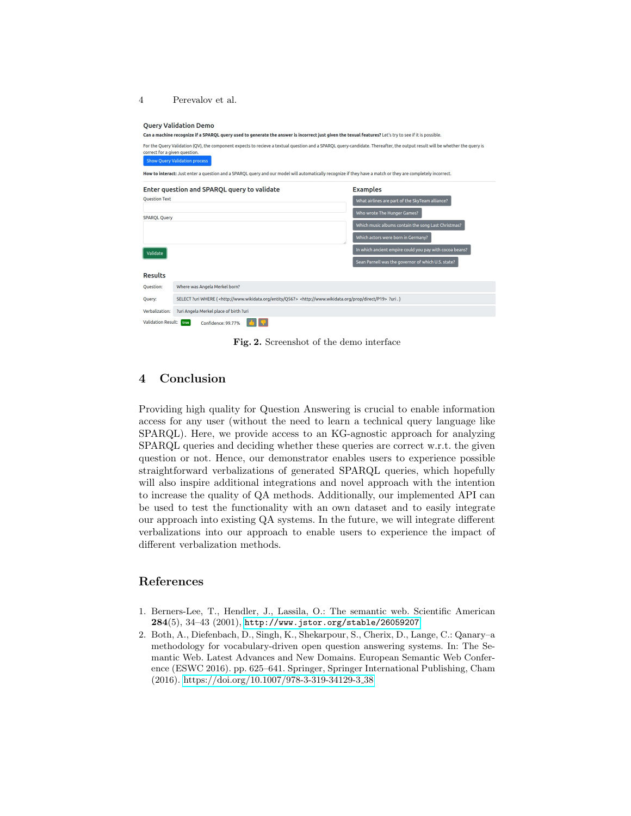4 Perevalov et al.

#### **Query Validation Demo**

|                                                                                                                                                                                                                                                      | Can a machine recognize if a SPAROL query used to generate the answer is incorrect just given the texual features? Let's try to see if it is possible.      |                                                         |
|------------------------------------------------------------------------------------------------------------------------------------------------------------------------------------------------------------------------------------------------------|-------------------------------------------------------------------------------------------------------------------------------------------------------------|---------------------------------------------------------|
| For the Ouery Validation (OV), the component expects to recieve a textual question and a SPAROL query-candidate. Thereafter, the output result will be whether the query is<br>correct for a given question.<br><b>Show Query Validation process</b> |                                                                                                                                                             |                                                         |
|                                                                                                                                                                                                                                                      | How to interact: Just enter a question and a SPAROL query and our model will automatically recognize if they have a match or they are completely incorrect. |                                                         |
| Enter question and SPAROL query to validate<br><b>Ouestion Text</b><br><b>SPAROL Query</b>                                                                                                                                                           |                                                                                                                                                             | <b>Examples</b>                                         |
|                                                                                                                                                                                                                                                      |                                                                                                                                                             | What airlines are part of the SkyTeam alliance?         |
|                                                                                                                                                                                                                                                      |                                                                                                                                                             | Who wrote The Hunger Games?                             |
|                                                                                                                                                                                                                                                      |                                                                                                                                                             | Which music albums contain the song Last Christmas?     |
|                                                                                                                                                                                                                                                      |                                                                                                                                                             | Which actors were born in Germany?                      |
| Validate                                                                                                                                                                                                                                             |                                                                                                                                                             | In which ancient empire could you pay with cocoa beans? |
|                                                                                                                                                                                                                                                      |                                                                                                                                                             | Sean Parnell was the governor of which U.S. state?      |
| <b>Results</b>                                                                                                                                                                                                                                       |                                                                                                                                                             |                                                         |
| Ouestion:                                                                                                                                                                                                                                            | Where was Angela Merkel born?                                                                                                                               |                                                         |
| Ouerv:                                                                                                                                                                                                                                               | SELECT ?uri WHERE { <http: entity="" o567="" www.wikidata.org=""> <http: direct="" p19="" prop="" www.wikidata.org=""> ?uri, }</http:></http:>              |                                                         |
| Verbalization:                                                                                                                                                                                                                                       | ?uri Angela Merkel place of birth ?uri                                                                                                                      |                                                         |
| Validation Result: true                                                                                                                                                                                                                              | Confidence: 99 77%                                                                                                                                          |                                                         |

<span id="page-3-2"></span>Fig. 2. Screenshot of the demo interface

### <span id="page-3-1"></span>4 Conclusion

Providing high quality for Question Answering is crucial to enable information access for any user (without the need to learn a technical query language like SPARQL). Here, we provide access to an KG-agnostic approach for analyzing SPARQL queries and deciding whether these queries are correct w.r.t. the given question or not. Hence, our demonstrator enables users to experience possible straightforward verbalizations of generated SPARQL queries, which hopefully will also inspire additional integrations and novel approach with the intention to increase the quality of QA methods. Additionally, our implemented API can be used to test the functionality with an own dataset and to easily integrate our approach into existing QA systems. In the future, we will integrate different verbalizations into our approach to enable users to experience the impact of different verbalization methods.

#### References

- <span id="page-3-0"></span>1. Berners-Lee, T., Hendler, J., Lassila, O.: The semantic web. Scientific American 284(5), 34–43 (2001), <http://www.jstor.org/stable/26059207>
- <span id="page-3-3"></span>2. Both, A., Diefenbach, D., Singh, K., Shekarpour, S., Cherix, D., Lange, C.: Qanary–a methodology for vocabulary-driven open question answering systems. In: The Semantic Web. Latest Advances and New Domains. European Semantic Web Conference (ESWC 2016). pp. 625–641. Springer, Springer International Publishing, Cham (2016). [https://doi.org/10.1007/978-3-319-34129-3](https://doi.org/10.1007/978-3-319-34129-3_38) 38